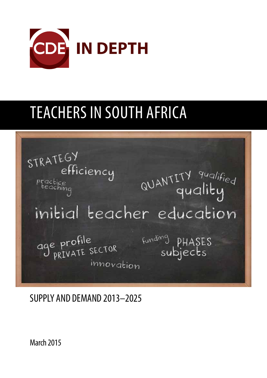

# TEACHERS IN SOUTH AFRICA

STRATEGY efficiency<br><sup>ce</sup> QUANTITY qualified practice<br>teaching initial teacher education age profile<br>J private sector Funding pHASES innovation

SUPPLY AND DEMAND 2013–2025

March 2015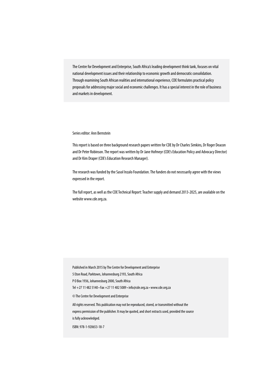The Centre for Development and Enterprise, South Africa's leading development think tank, focuses on vital national development issues and their relationship to economic growth and democratic consolidation. Through examining South African realities and international experience, CDE formulates practical policy proposals for addressing major social and economic challenges. It has a special interest in the role of business and markets in development.

#### Series editor: Ann Bernstein

This report is based on three background research papers written for CDE by Dr Charles Simkins, Dr Roger Deacon and Dr Peter Robinson. The report was written by Dr Jane Hofmeyr (CDE's Education Policy and Advocacy Director) and Dr Kim Draper (CDE's Education Research Manager).

The research was funded by the Sasol Inzalo Foundation. The funders do not necessarily agree with the views expressed in the report.

The full report, as well as the CDE Technical Report: Teacher supply and demand 2013-2025, are available on the website www.cde.org.za.

Published in March 2015 by The Centre for Development and Enterprise

5 Eton Road, Parktown, Johannesburg 2193, South Africa

P O Box 1936, Johannesburg 2000, South Africa

Tel +27 11 482 5140 • Fax +27 11 482 5089 • info@cde.org.za • www.cde.org.za

© The Centre for Development and Enterprise

All rights reserved. This publication may not be reproduced, stored, or transmitted without the express permission of the publisher. It may be quoted, and short extracts used, provided the source is fully acknowledged.

ISBN: 978-1-920653-18-7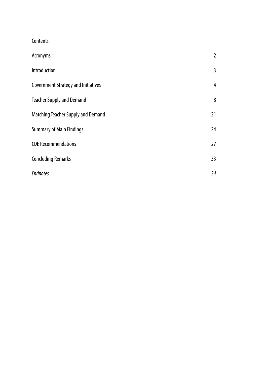**Contents** 

| Acronyms                                   | $\overline{2}$  |
|--------------------------------------------|-----------------|
| Introduction                               | 3               |
| <b>Government Strategy and Initiatives</b> | 4               |
| <b>Teacher Supply and Demand</b>           | 8               |
| Matching Teacher Supply and Demand         | 21              |
| <b>Summary of Main Findings</b>            | 24              |
| <b>CDE Recommendations</b>                 | 27              |
| <b>Concluding Remarks</b>                  | 33 <sup>2</sup> |
| <b>Endnotes</b>                            | 34              |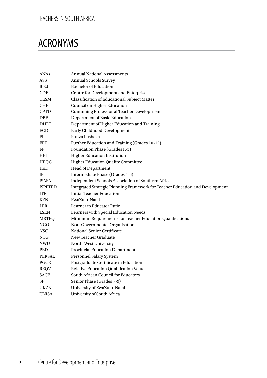## ACRONYMS

| ANAs           | <b>Annual National Assessments</b>                                            |  |  |  |  |
|----------------|-------------------------------------------------------------------------------|--|--|--|--|
| ASS            | <b>Annual Schools Survey</b>                                                  |  |  |  |  |
| <b>B</b> Ed    | <b>Bachelor</b> of Education                                                  |  |  |  |  |
| CDE            | Centre for Development and Enterprise                                         |  |  |  |  |
| <b>CESM</b>    | <b>Classification of Educational Subject Matter</b>                           |  |  |  |  |
| <b>CHE</b>     | Council on Higher Education                                                   |  |  |  |  |
| <b>CPTD</b>    | <b>Continuing Professional Teacher Development</b>                            |  |  |  |  |
| DBE            | Department of Basic Education                                                 |  |  |  |  |
| DHET           | Department of Higher Education and Training                                   |  |  |  |  |
| ECD            | Early Childhood Development                                                   |  |  |  |  |
| FL             | Funza Lushaka                                                                 |  |  |  |  |
| FET            | Further Education and Training (Grades 10-12)                                 |  |  |  |  |
| FP             | <b>Foundation Phase (Grades R-3)</b>                                          |  |  |  |  |
| HEI            | <b>Higher Education Institution</b>                                           |  |  |  |  |
| <b>HEQC</b>    | <b>Higher Education Quality Committee</b>                                     |  |  |  |  |
| $_{\rm{HoD}}$  | Head of Department                                                            |  |  |  |  |
| IP             | Intermediate Phase (Grades 4-6)                                               |  |  |  |  |
| <b>ISASA</b>   | Independent Schools Association of Southern Africa                            |  |  |  |  |
| <b>ISPFTED</b> | Integrated Strategic Planning Framework for Teacher Education and Development |  |  |  |  |
| <b>ITE</b>     | <b>Initial Teacher Education</b>                                              |  |  |  |  |
| KZN            | KwaZulu-Natal                                                                 |  |  |  |  |
| LER            | <b>Learner to Educator Ratio</b>                                              |  |  |  |  |
| LSEN           | Learners with Special Education Needs                                         |  |  |  |  |
| <b>MRTEQ</b>   | Minimum Requirements for Teacher Education Qualifications                     |  |  |  |  |
| NGO            | Non-Governmental Organisation                                                 |  |  |  |  |
| <b>NSC</b>     | <b>National Senior Certificate</b>                                            |  |  |  |  |
| NTG            | New Teacher Graduate                                                          |  |  |  |  |
| <b>NWU</b>     | North-West University                                                         |  |  |  |  |
| PED            | <b>Provincial Education Department</b>                                        |  |  |  |  |
| PERSAL         | <b>Personnel Salary System</b>                                                |  |  |  |  |
| PGCE           | Postgraduate Certificate in Education                                         |  |  |  |  |
| <b>REQV</b>    | Relative Education Qualification Value                                        |  |  |  |  |
| SACE           | South African Council for Educators                                           |  |  |  |  |
| SP             | Senior Phase (Grades 7-9)                                                     |  |  |  |  |
| UKZN           | University of KwaZulu-Natal                                                   |  |  |  |  |
| UNISA          | University of South Africa                                                    |  |  |  |  |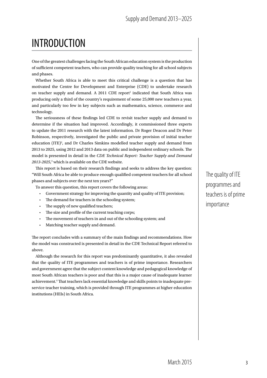## INTRODUCTION

One of the greatest challenges facing the South African education system is the production of sufficient competent teachers, who can provide quality teaching for all school subjects and phases.

Whether South Africa is able to meet this critical challenge is a question that has motivated the Centre for Development and Enterprise (CDE) to undertake research on teacher supply and demand. A 2011 CDE report<sup>1</sup> indicated that South Africa was producing only a third of the country's requirement of some 25,000 new teachers a year, and particularly too few in key subjects such as mathematics, science, commerce and technology.

The seriousness of these findings led CDE to revisit teacher supply and demand to determine if the situation had improved. Accordingly, it commissioned three experts to update the 2011 research with the latest information. Dr Roger Deacon and Dr Peter Robinson, respectively, investigated the public and private provision of initial teacher education (ITE)<sup>2</sup>, and Dr Charles Simkins modelled teacher supply and demand from 2013 to 2025, using 2012 and 2013 data on public and independent ordinary schools. The model is presented in detail in the *CDE Technical Report: Teacher Supply and Demand 2013-2025*, 3 which is available on the CDE website.

This report is based on their research findings and seeks to address the key question: "Will South Africa be able to produce enough qualified competent teachers for all school phases and subjects over the next ten years?"

To answer this question, this report covers the following areas:

- Government strategy for improving the quantity and quality of ITE provision;
- The demand for teachers in the schooling system;
- The supply of new qualified teachers;
- The size and profile of the current teaching corps;
- The movement of teachers in and out of the schooling system; and
- Matching teacher supply and demand.

The report concludes with a summary of the main findings and recommendations. How the model was constructed is presented in detail in the CDE Technical Report referred to above.

Although the research for this report was predominantly quantitative, it also revealed that the quality of ITE programmes and teachers is of prime importance. Researchers and government agree that the subject content knowledge and pedagogical knowledge of most South African teachers is poor and that this is a major cause of inadequate learner achievement.<sup>4</sup> That teachers lack essential knowledge and skills points to inadequate preservice teacher training, which is provided through ITE programmes at higher education institutions (HEIs) in South Africa.

The quality of ITE programmes and teachers is of prime importance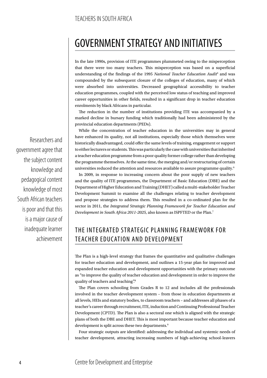## GOVERNMENT STRATEGY AND INITIATIVES

In the late 1990s, provision of ITE programmes plummeted owing to the misperception that there were too many teachers. This misperception was based on a superficial understanding of the findings of the 1995 National Teacher Education Audit<sup>5</sup> and was compounded by the subsequent closure of the colleges of education, many of which were absorbed into universities. Decreased geographical accessibility to teacher education programmes, coupled with the perceived low status of teaching and improved career opportunities in other fields, resulted in a significant drop in teacher education enrolments by black Africans in particular.

The reduction in the number of institutions providing ITE was accompanied by a marked decline in bursary funding which traditionally had been administered by the provincial education departments (PEDs).

While the concentration of teacher education in the universities may in general have enhanced its quality, not all institutions, especially those which themselves were historically disadvantaged, could offer the same levels of training, engagement or support to either lecturers or students. This was particularly the case with universities that inherited a teacher education programme from a poor quality former college rather than developing the programme themselves. At the same time, the merging and/or restructuring of certain universities reduced the attention and resources available to assure programme quality.6

In 2009, in response to increasing concern about the poor supply of new teachers and the quality of ITE programmes, the Department of Basic Education (DBE) and the Department of Higher Education and Training (DHET) called a multi-stakeholder Teacher Development Summit to examine all the challenges relating to teacher development and propose strategies to address them. This resulted in a co-ordinated plan for the sector in 2011, the *Integrated Strategic Planning Framework for Teacher Education and Development in South Africa 2011-2025*, also known as ISPFTED or the Plan.7

## THE INTEGRATED STRATEGIC PLANNING FRAME WORK FOR TEACHER EDUCATION AND DEVELOPMENT

The Plan is a high-level strategy that frames the quantitative and qualitative challenges for teacher education and development, and outlines a 15-year plan for improved and expanded teacher education and development opportunities with the primary outcome as "to improve the quality of teacher education and development in order to improve the quality of teachers and teaching".<sup>8</sup>

The Plan covers schooling from Grades R to 12 and includes all the professionals involved in the teacher development system – from those in education departments at all levels, HEIs and statutory bodies, to classroom teachers – and addresses all phases of a teacher's career through recruitment, ITE, induction and Continuing Professional Teacher Development (CPTD). The Plan is also a sectoral one which is aligned with the strategic plans of both the DBE and DHET. This is most important because teacher education and development is split across these two departments.<sup>9</sup>

Four strategic outputs are identified: addressing the individual and systemic needs of teacher development, attracting increasing numbers of high-achieving school-leavers

Researchers and government agree that the subject content knowledge and pedagogical content knowledge of most South African teachers is poor and that this is a major cause of inadequate learner achievement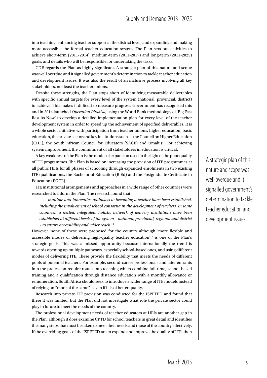into teaching, enhancing teacher support at the district level, and expanding and making more accessible the formal teacher education system. The Plan sets out activities to achieve short-term (2011-2014), medium-term (2011-2017) and long-term (2011-2025) goals, and details who will be responsible for undertaking the tasks.

CDE regards the Plan as highly significant. A strategic plan of this nature and scope was well overdue and it signalled government's determination to tackle teacher education and development issues. It was also the result of an inclusive process involving all key stakeholders, not least the teacher unions.

Despite these strengths, the Plan stops short of identifying measurable deliverables with specific annual targets for every level of the system (national, provincial, district) to achieve. This makes it difficult to measure progress. Government has recognised this and in 2014 launched *Operation Phakisa*, using the World Bank methodology of 'Big Fast Results Now' to develop a detailed implementation plan for every level of the teacher development system in order to speed up the achievement of specified deliverables. It is a whole sector initiative with participation from teacher unions, higher education, basic education, the private sector and key institutions such as the Council on Higher Education (CHE), the South African Council for Educators (SACE) and Umalusi. For achieving system improvement, the commitment of all stakeholders in education is critical.

A key weakness of the Plan is the model of expansion used in the light of the poor quality of ITE programmes. The Plan is based on increasing the provision of ITE programmes at all public HEIs for all phases of schooling through expanded enrolments in two existing ITE qualifications, the Bachelor of Education (B Ed) and the Postgraduate Certificate in Education (PGCE).

ITE institutional arrangements and approaches in a wide range of other countries were researched to inform the Plan. The research found that

*… multiple and innovative pathways to becoming a teacher have been established, including the involvement of school consortia in the development of teachers. In some countries, a nested, integrated, holistic network of delivery institutions have been established at different levels of the system – national, provincial, regional and district – to ensure accessibility and wider reach.*<sup>10</sup>

However, none of these were proposed for the country although 'more flexible and accessible modes of delivering high-quality teacher education'11 is one of the Plan's strategic goals. This was a missed opportunity because internationally the trend is towards opening up multiple pathways, especially school-based ones, and using different modes of delivering ITE. These provide the flexibility that meets the needs of different pools of potential teachers. For example, second-career professionals and later entrants into the profession require routes into teaching which combine full-time, school-based training and a qualification through distance education with a monthly allowance or remuneration. South Africa should seek to introduce a wider range of ITE models instead of relying on "more of the same" - even if it is of better quality.

Research into private ITE provision was conducted for the ISPFTED and found that there it was limited, but the Plan did not investigate what role the private sector could play in future to meet the needs of the country.

The professional development needs of teacher educators at HEIs are another gap in the Plan, although it does examine CPTD for school teachers in great detail and identifies the many steps that must be taken to meet their needs and those of the country effectively. If the overriding goals of the ISPFTED are to expand and improve the quality of ITE, then

A strategic plan of this nature and scope was well overdue and it signalled government's determination to tackle teacher education and development issues.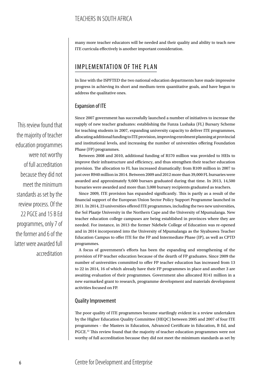many more teacher educators will be needed and their quality and ability to teach new ITE curricula effectively is another important consideration.

## IMPLEMENTATION OF THE PLAN

In line with the ISPFTED the two national education departments have made impressive progress in achieving its short and medium-term quantitative goals, and have begun to address the qualitative ones.

### Expansion of ITE

Since 2007 government has successfully launched a number of initiatives to increase the supply of new teacher graduates: establishing the Funza Lushaka (FL) Bursary Scheme for teaching students in 2007, expanding university capacity to deliver ITE programmes, allocating additional funding to ITE provision, improving enrolment planning at provincial and institutional levels, and increasing the number of universities offering Foundation Phase (FP) programmes.

Between 2008 and 2010, additional funding of R570 million was provided to HEIs to improve their infrastructure and efficiency, and thus strengthen their teacher education provision. The allocation to FL has increased dramatically: from R109 million in 2007 to just over R940 million in 2014. Between 2009 and 2012 more than 39,000 FL bursaries were awarded and approximately 9,600 bursars graduated during that time. In 2013, 14,500 bursaries were awarded and more than 3,000 bursary recipients graduated as teachers.

Since 2009, ITE provision has expanded significantly. This is partly as a result of the financial support of the European Union Sector Policy Support Programme launched in 2011. In 2014, 23 universities offered ITE programmes, including the two new universities, the Sol Plaatje University in the Northern Cape and the University of Mpumalanga. New teacher education college campuses are being established in provinces where they are needed. For instance, in 2013 the former Ndebele College of Education was re-opened and in 2014 incorporated into the University of Mpumalanga as the Siyabuswa Teacher Education Campus to offer ITE for the FP and Intermediate Phase (IP), as well as CPTD programmes.

A focus of government's efforts has been the expanding and strengthening of the provision of FP teacher education because of the dearth of FP graduates. Since 2009 the number of universities committed to offer FP teacher education has increased from 13 to 22 in 2014, 16 of which already have their FP programmes in place and another 3 are awaiting evaluation of their programmes. Government also allocated R141 million in a new earmarked grant to research, programme development and materials development activities focused on FP.

#### Quality Improvement

The poor quality of ITE programmes became startlingly evident in a review undertaken by the Higher Education Quality Committee (HEQC) between 2005 and 2007 of four ITE programmes – the Masters in Education, Advanced Certificate in Education, B Ed, and PGCE.12 This review found that the majority of teacher education programmes were not worthy of full accreditation because they did not meet the minimum standards as set by

This review found that the majority of teacher education programmes were not worthy of full accreditation because they did not meet the minimum standards as set by the review process. Of the 22 PGCE and 15 B Ed programmes, only 7 of the former and 6 of the latter were awarded full accreditation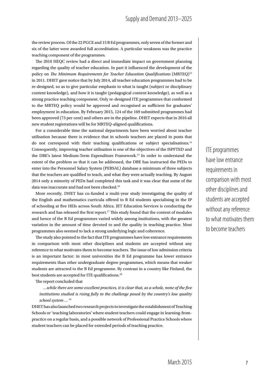the review process. Of the 22 PGCE and 15 B Ed programmes, only seven of the former and six of the latter were awarded full accreditation. A particular weakness was the practice teaching component of the programmes.

The 2010 HEQC review had a direct and immediate impact on government planning regarding the quality of teacher education. In part it influenced the development of the policy on *The Minimum Requirements for Teacher Education Qualifications* (MRTEQ)13 in 2011. DHET gave notice that by July 2014, all teacher education programmes had to be re-designed, so as to give particular emphasis to what is taught (subject or disciplinary content knowledge), and how it is taught (pedagogical content knowledge), as well as a strong practice teaching component. Only re-designed ITE programmes that conformed to the MRTEQ policy would be approved and recognised as sufficient for graduates' employment in education. By February 2015, 124 of the 169 submitted programmes had been approved (73 per cent) and others are in the pipeline. DHET expects that in 2016 all new student registrations will be for MRTEQ-aligned qualifications.

For a considerable time the national departments have been worried about teacher utilisation because there is evidence that in schools teachers are placed in posts that do not correspond with their teaching qualifications or subject specialisations.14 Consequently, improving teacher utilisation is one of the objectives of the ISPFTED and the DBE's latest Medium-Term Expenditure Framework.15 In order to understand the extent of the problem so that it can be addressed, the DBE has instructed the PEDs to enter into the Personnel Salary System (PERSAL) database a minimum of three subjects that the teachers are qualified to teach, and what they were actually teaching. By August 2014 only a minority of PEDs had completed this task and it was clear that some of the data was inaccurate and had not been checked.<sup>16</sup>

More recently, DHET has co-funded a multi-year study investigating the quality of the English and mathematics curricula offered to B Ed students specialising in the IP of schooling at five HEIs across South Africa. JET Education Services is conducting the research and has released the first report.17 This study found that the content of modules and hence of the B Ed programmes varied widely among institutions, with the greatest variation in the amount of time devoted to and the quality in teaching practice. Most programmes also seemed to lack a strong underlying logic and coherence.

The study also pointed to the fact that ITE programmes have low entrance requirements in comparison with most other disciplines and students are accepted without any reference to what motivates them to become teachers. The issue of low admission criteria is an important factor: in most universities the B Ed programme has lower entrance requirements than other undergraduate degree programmes, which means that weaker students are attracted to the B Ed programme. By contrast in a country like Finland, the best students are accepted for ITE qualifications.<sup>18</sup>

The report concluded that

*…while there are some excellent practices, it is clear that, as a whole, none of the five institutions studied is rising fully to the challenge posed by the country's low quality school system …* <sup>19</sup>

DHET has also launched two research projects to investigate the establishment of Teaching Schools or 'teaching laboratories' where student teachers could engage in learning-frompractice on a regular basis, and a possible network of Professional Practice Schools where student teachers can be placed for extended periods of teaching practice.

ITE programmes have low entrance requirements in comparison with most other disciplines and students are accepted without any reference to what motivates them to become teachers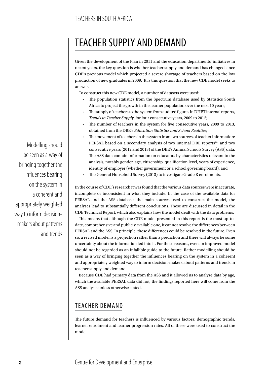## TEACHER SUPPLY AND DEMAND

Given the development of the Plan in 2011 and the education departments' initiatives in recent years, the key question is whether teacher supply and demand has changed since CDE's previous model which projected a severe shortage of teachers based on the low production of new graduates in 2009. It is this question that the new CDE model seeks to answer.

To construct this new CDE model, a number of datasets were used:

- The population statistics from the Spectrum database used by Statistics South Africa to project the growth in the learner population over the next 10 years;
- The supply of teachers to the system from audited figures in DHET internal reports, *Trends in Teacher Supply*, for four consecutive years, 2009 to 2012;
- The number of teachers in the system for five consecutive years, 2009 to 2013, obtained from the DBE's *Education Statistics and School Realities*;
- The movement of teachers in the system from two sources of teacher information: PERSAL based on a secondary analysis of two internal DBE reports<sup>20</sup>, and two consecutive years (2012 and 2013) of the DBE's Annual Schools Survey (ASS) data. The ASS data contain information on educators by characteristics relevant to the analysis, notably gender, age, citizenship, qualification level, years of experience, identity of employer (whether government or a school governing board); and
- The General Household Survey (2013) to investigate Grade R enrolments.

In the course of CDE's research it was found that the various data sources were inaccurate, incomplete or inconsistent in what they include. In the case of the available data for PERSAL and the ASS database, the main sources used to construct the model, the analyses lead to substantially different conclusions. These are discussed in detail in the CDE Technical Report, which also explains how the model dealt with the data problems.

This means that although the CDE model presented in this report is the most up-todate, comprehensive and publicly available one, it cannot resolve the differences between PERSAL and the ASS. In principle, these differences could be resolved in the future. Even so, a revised model is a projection rather than a prediction and there will always be some uncertainty about the information fed into it. For these reasons, even an improved model should not be regarded as an infallible guide to the future. Rather modelling should be seen as a way of bringing together the influences bearing on the system in a coherent and appropriately weighted way to inform decision-makers about patterns and trends in teacher supply and demand.

Because CDE had primary data from the ASS and it allowed us to analyse data by age, which the available PERSAL data did not, the findings reported here will come from the ASS analysis unless otherwise stated.

## TEACHER DEMAND

The future demand for teachers is influenced by various factors: demographic trends, learner enrolment and learner progression rates. All of these were used to construct the model.

Modelling should be seen as a way of bringing together the influences bearing on the system in a coherent and appropriately weighted way to inform decisionmakers about patterns and trends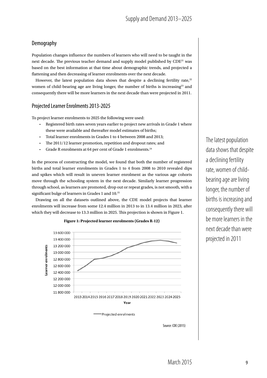## Demography

Population changes influence the numbers of learners who will need to be taught in the next decade. The previous teacher demand and supply model published by  $CDE^{21}$  was based on the best information at that time about demographic trends, and projected a flattening and then decreasing of learner enrolments over the next decade.

However, the latest population data shows that despite a declining fertility rate, $^{22}$ women of child-bearing age are living longer, the number of births is increasing<sup>23</sup> and consequently there will be more learners in the next decade than were projected in 2011.

## Projected Learner Enrolments 2013-2025

To project learner enrolments to 2025 the following were used:

- Registered birth rates seven years earlier to project new arrivals in Grade 1 where these were available and thereafter model estimates of births;
- Total learner enrolments in Grades 1 to 4 between 2008 and 2013;
- The 2011/12 learner promotion, repetition and dropout rates; and
- Grade R enrolments at 64 per cent of Grade 1 enrolments.24

In the process of constructing the model, we found that both the number of registered births and total learner enrolments in Grades 1 to 4 from 2008 to 2010 revealed dips and spikes which will result in uneven learner enrolment as the various age cohorts move through the schooling system in the next decade. Similarly learner progression through school, as learners are promoted, drop out or repeat grades, is not smooth, with a significant bulge of learners in Grades 1 and 10.<sup>25</sup>

Drawing on all the datasets outlined above, the CDE model projects that learner enrolments will increase from some 12.4 million in 2013 to in 13.4 million in 2023, after which they will decrease to 13.3 million in 2025. This projection is shown in Figure 1.



**Figure 1: Projected learner enrolments (Grades R-12)**

Source: CDE (2015)

The latest population data shows that despite a declining fertility rate, women of childbearing age are living longer, the number of births is increasing and consequently there will be more learners in the next decade than were projected in 2011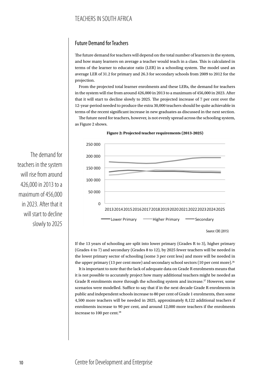## Future Demand for Teachers

The future demand for teachers will depend on the total number of learners in the system, and how many learners on average a teacher would teach in a class. This is calculated in terms of the learner to educator ratio (LER) in a schooling system. The model used an average LER of 31.2 for primary and 26.3 for secondary schools from 2009 to 2012 for the projection.

From the projected total learner enrolments and these LERs, the demand for teachers in the system will rise from around 426,000 in 2013 to a maximum of 456,000 in 2023. After that it will start to decline slowly to 2025. The projected increase of 7 per cent over the 12-year-period needed to produce the extra 30,000 teachers should be quite achievable in terms of the recent significant increase in new graduates as discussed in the next section.

The future need for teachers, however, is not evenly spread across the schooling system, as Figure 2 shows.



**Figure 2: Projected teacher requirements (2013-2025)**

If the 13 years of schooling are split into lower primary (Grades R to 3), higher primary (Grades 4 to 7) and secondary (Grades 8 to 12), by 2025 fewer teachers will be needed in the lower primary sector of schooling (some 3 per cent less) and more will be needed in the upper primary (13 per cent more) and secondary school sectors (10 per cent more).<sup>26</sup>

It is important to note that the lack of adequate data on Grade R enrolments means that it is not possible to accurately project how many additional teachers might be needed as Grade R enrolments move through the schooling system and increase.<sup>27</sup> However, some scenarios were modelled. Suffice to say that if in the next decade Grade R enrolments in public and independent schools increase to 80 per cent of Grade 1 enrolments, then some 4,500 more teachers will be needed in 2025, approximately 8,122 additional teachers if enrolments increase to 90 per cent, and around 12,000 more teachers if the enrolments increase to 100 per cent.<sup>28</sup>

The demand for teachers in the system will rise from around 426,000 in 2013 to a maximum of 456,000 in 2023. After that it will start to decline slowly to 2025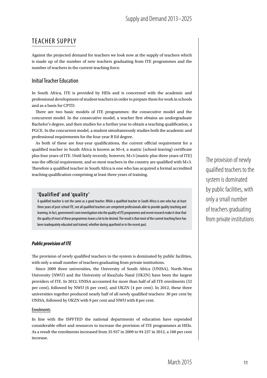## TEACHER SUPPLY

Against the projected demand for teachers we look now at the supply of teachers which is made up of the number of new teachers graduating from ITE programmes and the number of teachers in the current teaching force.

#### Initial Teacher Education

In South Africa, ITE is provided by HEIs and is concerned with the academic and professional development of student teachers in order to prepare them for work in schools and as a basis for CPTD.

There are two basic models of ITE programmes: the consecutive model and the concurrent model. In the consecutive model, a teacher first obtains an undergraduate Bachelor's degree, and then studies for a further year to obtain a teaching qualification, a PGCE. In the concurrent model, a student simultaneously studies both the academic and professional requirements for the four-year B Ed degree.

As both of these are four-year qualifications, the current official requirement for a qualified teacher in South Africa is known as M+4, a matric (school-leaving) certificate plus four years of ITE. Until fairly recently, however, M+3 (matric plus three years of ITE) was the official requirement, and so most teachers in the country are qualified with M+3. Therefore a qualified teacher in South Africa is one who has acquired a formal accredited teaching qualification comprising at least three years of training.

#### **'Qualified' and 'quality '**

A qualified teacher is not the same as a good teacher. While a qualified teacher in South Africa is one who has at least three years of post-school ITE, not all qualified teachers are competent professionals able to provide quality teaching and learning. In fact, government's own investigation into the quality of ITE programmes and recent research make it clear that the quality of most of these programmes leaves a lot to be desired. The result is that most of the current teaching force has been inadequately educated and trained, whether during apartheid or in the recent past.

#### *Public provision of ITE*

The provision of newly qualified teachers to the system is dominated by public facilities, with only a small number of teachers graduating from private institutions.

Since 2009 three universities, the University of South Africa (UNISA), North-West University (NWU) and the University of KwaZulu-Natal (UKZN) have been the largest providers of ITE. In 2012, UNISA accounted for more than half of all ITE enrolments (52 per cent), followed by NWU (6 per cent), and UKZN (4 per cent). In 2012, these three universities together produced nearly half of all newly qualified teachers: 30 per cent by UNISA, followed by UKZN with 9 per cent and NWU with 8 per cent.

#### Enrolments

In line with the ISPFTED the national departments of education have expended considerable effort and resources to increase the provision of ITE programmes at HEIs. As a result the enrolments increased from 35 937 in 2009 to 94 237 in 2012, a 160 per cent increase.

The provision of newly qualified teachers to the system is dominated by public facilities, with only a small number of teachers graduating from private institutions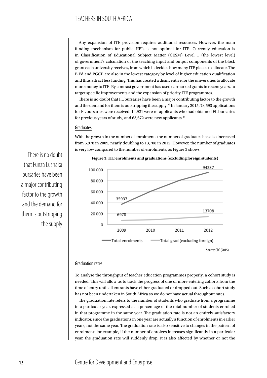## TEACHERS IN SOUTH AFRICA

Any expansion of ITE provision requires additional resources. However, the main funding mechanism for public HEIs is not optimal for ITE. Currently education is in Classification of Educational Subject Matter (CESM) Level 1 (the lowest level) of government's calculation of the teaching input and output components of the block grant each university receives, from which it decides how many ITE places to allocate. The B Ed and PGCE are also in the lowest category by level of higher education qualification and thus attract less funding. This has created a disincentive for the universities to allocate more money to ITE. By contrast government has used earmarked grants in recent years, to target specific improvements and the expansion of priority ITE programmes.

There is no doubt that FL bursaries have been a major contributing factor to the growth and the demand for them is outstripping the supply.<sup>29</sup> In January 2015, 78,593 applications for FL bursaries were received: 14,921 were re-applicants who had obtained FL bursaries for previous years of study, and 63,672 were new applicants.<sup>30</sup>

#### Graduates

With the growth in the number of enrolments the number of graduates has also increased from 6,978 in 2009, nearly doubling to 13,708 in 2012. However, the number of graduates is very low compared to the number of enrolments, as Figure 3 shows.





#### Graduation rates

To analyse the throughput of teacher education programmes properly, a cohort study is needed. This will allow us to track the progress of one or more entering cohorts from the time of entry until all entrants have either graduated or dropped out. Such a cohort study has not been undertaken in South Africa so we do not have actual throughput rates.

The graduation rate refers to the number of students who graduate from a programme in a particular year, expressed as a percentage of the total number of students enrolled in that programme in the same year. The graduation rate is not an entirely satisfactory indicator, since the graduations in one year are actually a function of enrolments in earlier years, not the same year. The graduation rate is also sensitive to changes in the pattern of enrolment: for example, if the number of enrolees increases significantly in a particular year, the graduation rate will suddenly drop. It is also affected by whether or not the

There is no doubt that Funza Lushaka bursaries have been a major contributing factor to the growth and the demand for them is outstripping the supply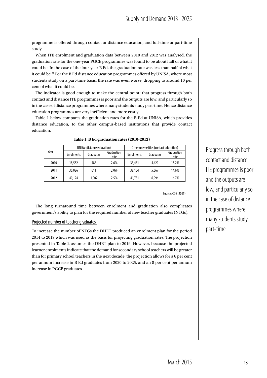programme is offered through contact or distance education, and full-time or part-time study.

When ITE enrolment and graduation data between 2010 and 2012 was analysed, the graduation rate for the one-year PGCE programmes was found to be about half of what it could be. In the case of the four-year B Ed, the graduation rate was less than half of what it could be.31 For the B Ed distance education programmes offered by UNISA, where most students study on a part-time basis, the rate was even worse, dropping to around 10 per cent of what it could be.

The indicator is good enough to make the central point: that progress through both contact and distance ITE programmes is poor and the outputs are low, and particularly so in the case of distance programmes where many students study part-time. Hence distance education programmes are very inefficient and more costly.

Table 1 below compares the graduation rates for the B Ed at UNISA, which provides distance education, to the other campus-based institutions that provide contact education.

|      | <b>UNISA</b> (distance education) |           |                    | Other universities (contact education) |           |                    |  |
|------|-----------------------------------|-----------|--------------------|----------------------------------------|-----------|--------------------|--|
| Year | <b>Enrolments</b>                 | Graduates | Graduation<br>rate | <b>Enrolments</b>                      | Graduates | Graduation<br>rate |  |
| 2010 | 18,582                            | 488       | 2.6%               | 33,481                                 | 4,429     | 13.2%              |  |
| 2011 | 30,086                            | 611       | 2.0%               | 38,104                                 | 5.567     | 14.6%              |  |
| 2012 | 40,124                            | 1.007     | 2.5%               | 41,781                                 | 6.996     | 16.7%              |  |

**Table 1: B Ed graduation rates (2010-2012)**

Source: CDE (2015)

The long turnaround time between enrolment and graduation also complicates government's ability to plan for the required number of new teacher graduates (NTGs).

#### Projected number of teacher graduates

To increase the number of NTGs the DHET produced an enrolment plan for the period 2014 to 2019 which was used as the basis for projecting graduation rates. The projection presented in Table 2 assumes the DHET plan to 2019. However, because the projected learner enrolments indicate that the demand for secondary school teachers will be greater than for primary school teachers in the next decade, the projection allows for a 6 per cent per annum increase in B Ed graduates from 2020 to 2025, and an 8 per cent per annum increase in PGCE graduates.

Progress through both contact and distance ITE programmes is poor and the outputs are low, and particularly so in the case of distance programmes where many students study part-time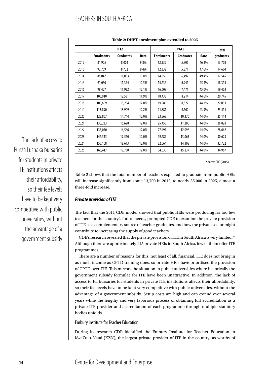## TEACHERS IN SOUTH AFRICA

|      |                   | B Ed             |       | <b>PGCE</b>       |                  |       | <b>Total</b> |  |
|------|-------------------|------------------|-------|-------------------|------------------|-------|--------------|--|
|      | <b>Enrolments</b> | <b>Graduates</b> | Rate  | <b>Enrolments</b> | <b>Graduates</b> | Rate  | graduates    |  |
| 2012 | 81,905            | 8,003            | 9.8%  | 12,332            | 5,705            | 46.3% | 13,708       |  |
| 2013 | 92,759            | 8,732            | 9.4%  | 12,332            | 5,871            | 47.6% | 14,604       |  |
| 2014 | 85,047            | 11,053           | 13.0% | 14,050            | 6,492            | 49.4% | 17,545       |  |
| 2015 | 91,050            | 11,374           | 12.5% | 15,236            | 6,941            | 45.4% | 18,315       |  |
| 2016 | 98,427            | 11,932           | 12.1% | 16,608            | 7,471            | 45.0% | 19,403       |  |
| 2017 | 105,010           | 12,531           | 11.9% | 18,433            | 8,214            | 44.6% | 20,745       |  |
| 2018 | 109,609           | 13,204           | 12.0% | 19,989            | 8,827            | 44.2% | 22,031       |  |
| 2019 | 113,890           | 13,909           | 12.2% | 21,881            | 9,602            | 43.9% | 23,511       |  |
| 2020 | 122,867           | 14,744           | 12.0% | 23,568            | 10,370           | 44.0% | 25,114       |  |
| 2021 | 130,233           | 15,628           | 12.0% | 25,455            | 11,200           | 44.0% | 26,828       |  |
| 2022 | 138,050           | 16,566           | 12.0% | 27,491            | 12,096           | 44.0% | 28,662       |  |
| 2023 | 146,333           | 17,560           | 12.0% | 29,687            | 13,063           | 44.0% | 30,623       |  |
| 2024 | 155,108           | 18,613           | 12.0% | 32,064            | 14,108           | 44.0% | 32,722       |  |
| 2025 | 166,417           | 19,730           | 12.0% | 34,630            | 15,237           | 44.0% | 34,967       |  |

#### **Table 2: DHET enrolment plan extended to 2025**

Source: CDE (2015)

Table 2 shows that the total number of teachers expected to graduate from public HEIs will increase significantly from some 13,700 in 2012, to nearly 35,000 in 2025, almost a three-fold increase.

#### *Private provision of ITE*

The fact that the 2011 CDE model showed that public HEIs were producing far too few teachers for the country's future needs, prompted CDE to examine the private provision of ITE as a complementary source of teacher graduates, and how the private sector might contribute to increasing the supply of good teachers.

CDE's research revealed that the private provision of ITE in South Africa is very limited.32 Although there are approximately 115 private HEIs in South Africa, few of them offer ITE programmes.

There are a number of reasons for this, not least of all, financial. ITE does not bring in as much income as CPTD training does, so private HEIs have prioritised the provision of CPTD over ITE. This mirrors the situation in public universities where historically the government subsidy formulae for ITE have been unattractive. In addition, the lack of access to FL bursaries for students in private ITE institutions affects their affordability, so their fee levels have to be kept very competitive with public universities, without the advantage of a government subsidy. Setup costs are high and can extend over several years while the lengthy and very laborious process of obtaining full accreditation as a private ITE provider and accreditation of each programme through multiple statutory bodies unfolds.

Embury Institute for Teacher Education

During its research CDE identified the Embury Institute for Teacher Education in KwaZulu-Natal (KZN), the largest private provider of ITE in the country, as worthy of

The lack of access to Funza Lushaka bursaries for students in private ITE institutions affects their affordability, so their fee levels have to be kept very competitive with public universities, without the advantage of a government subsidy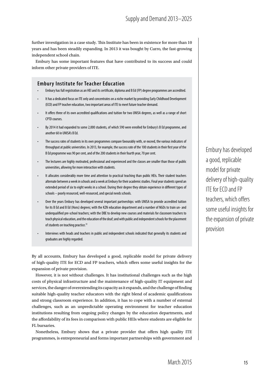further investigation in a case study. This Institute has been in existence for more than 10 years and has been steadily expanding. In 2013 it was bought by Curro, the fast-growing independent school chain.

Embury has some important features that have contributed to its success and could inform other private providers of ITE.

#### **Embury Institute for Teacher Education**

- Embury has full registration as an HEI and its certificate, diploma and B Ed (FP) degree programmes are accredited.
- It has a dedicated focus on ITE only and concentrates on a niche market by providing Early Childhood Development (ECD) and FP teacher education, two important areas of ITE to meet future teacher demand.
- It offers three of its own accredited qualifications and tuition for two UNISA degrees, as well as a range of short CPTD courses.
- By 2014 it had expanded to some 2,000 students, of which 590 were enrolled for Embury's B Ed programme, and another 60 in UNISA's B Ed.
- The success rates of students in its own programmes compare favourably with, or exceed, the various indicators of throughput at public universities. In 2013, for example, the success rate of the 100 students in their first year of the B Ed programme was 90 per cent, and of the 200 students in their fourth year, 70 per cent.
- The lecturers are highly motivated, professional and experienced and the classes are smaller than those of public universities, allowing for more interaction with students.
- It allocates considerably more time and attention to practical teaching than public HEIs. Their student teachers alternate between a week in schools and a week at Embury for their academic studies. Final year students spend an extended period of six to eight weeks in a school. During their degree they obtain experience in different types of schools – poorly resourced, well-resourced, and special needs schools.
- Over the years Embury has developed several important partnerships: with UNISA to provide accredited tuition for its B Ed and B Ed (Hons) degrees; with the KZN education department and a number of NGOs to train un- and underqualified pre-school teachers; with the DBE to develop new courses and materials for classroom teachers to teach physical education, and the education of the deaf; and with public and independent schools for the placement of students on teaching practice.<sup>33</sup>
- Interviews with heads and teachers in public and independent schools indicated that generally its students and graduates are highly regarded.

By all accounts, Embury has developed a good, replicable model for private delivery of high-quality ITE for ECD and FP teachers, which offers some useful insights for the expansion of private provision.

However, it is not without challenges. It has institutional challenges such as the high costs of physical infrastructure and the maintenance of high-quality IT equipment and services, the danger of overextending its capacity as it expands, and the challenge of finding suitable high-quality teacher educators with the right blend of academic qualifications and strong classroom experience. In addition, it has to cope with a number of external challenges, such as an unpredictable operating environment for teacher education institutions resulting from ongoing policy changes by the education departments, and the affordability of its fees in comparison with public HEIs where students are eligible for FL bursaries.

Nonetheless, Embury shows that a private provider that offers high quality ITE programmes, is entrepreneurial and forms important partnerships with government and Embury has developed a good, replicable model for private delivery of high-quality ITE for ECD and FP teachers, which offers some useful insights for the expansion of private provision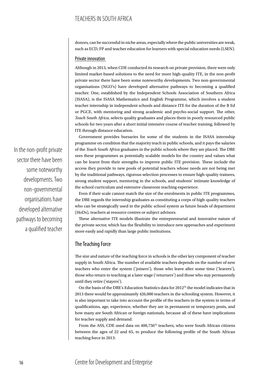## TEACHERS IN SOUTH AFRICA

donors, can be successful in niche areas, especially where the public universities are weak, such as ECD, FP and teacher education for learners with special education needs (LSEN).

#### Private innovation

Although in 2013, when CDE conducted its research on private provision, there were only limited market-based solutions to the need for more high-quality ITE, in the non-profit private sector there have been some noteworthy developments. Two non-governmental organisations (NGO's) have developed alternative pathways to becoming a qualified teacher. One, established by the Independent Schools Association of Southern Africa (ISASA), is the ISASA Mathematics and English Programme, which involves a student teacher internship in independent schools and distance ITE for the duration of the B Ed or PGCE, with mentoring and strong academic and psycho-social support. The other, *Teach South Africa*, selects quality graduates and places them in poorly resourced public schools for two years after a short initial intensive course of teacher training, followed by ITE through distance education.

Government provides bursaries for some of the students in the ISASA internship programme on condition that the majority teach in public schools, and it pays the salaries of the *Teach South Africa* graduates in the public schools where they are placed. The DBE sees these programmes as potentially scalable models for the country and values what can be learnt from their strengths to improve public ITE provision. These include the access they provide to new pools of potential teachers whose needs are not being met by the traditional pathways, rigorous selection processes to ensure high-quality trainees, strong student support, mentoring in the schools, and students' intimate knowledge of the school curriculum and extensive classroom teaching experience.

Even if their scale cannot match the size of the enrolments in public ITE programmes, the DBE regards the internship graduates as constituting a corps of high-quality teachers who can be strategically used in the public school system as future heads of department (HoDs), teachers at resource centres or subject advisors.

These alternative ITE models illustrate the entrepreneurial and innovative nature of the private sector, which has the flexibility to introduce new approaches and experiment more easily and rapidly than large public institutions.

#### The Teaching Force

The size and nature of the teaching force in schools is the other key component of teacher supply in South Africa. The number of available teachers depends on the number of new teachers who enter the system ('joiners'), those who leave after some time ('leavers'), those who return to teaching at a later stage ('returners') and those who stay permanently until they retire ('stayers').

On the basis of the DBE's Education Statistics data for  $2012^{34}$  the model indicates that in 2013 there would be approximately 426,000 teachers in the schooling system. However, it is also important to take into account the profile of the teachers in the system in terms of qualifications, age, experience, whether they are in permanent or temporary posts, and how many are South African or foreign nationals, because all of these have implications for teacher supply and demand.

From the ASS, CDE used data on 400,75635 teachers, who were South African citizens between the ages of 22 and 65, to produce the following profile of the South African teaching force in 2013:

In the non-profit private sector there have been some noteworthy developments. Two non-governmental organisations have developed alternative pathways to becoming a qualified teacher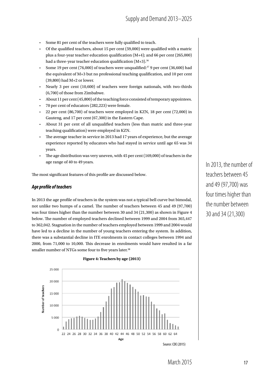- Some 81 per cent of the teachers were fully qualified to teach.
- Of the qualified teachers, about 15 per cent (59,000) were qualified with a matric plus a four-year teacher education qualification (M+4); and 66 per cent (265,000) had a three-year teacher education qualification  $(M+3)$ .<sup>36</sup>
- Some 19 per cent (76,000) of teachers were unqualified:37 9 per cent (36,600) had the equivalent of M+3 but no professional teaching qualification, and 10 per cent (39,800) had M+2 or lower.
- Nearly 3 per cent (10,600) of teachers were foreign nationals, with two-thirds (6,700) of those from Zimbabwe.
- About 11 per cent (45,800) of the teaching force consisted of temporary appointees.
- 70 per cent of educators (282,223) were female.
- 22 per cent (86,700) of teachers were employed in KZN, 18 per cent (72,000) in Gauteng, and 17 per cent (67,300) in the Eastern Cape.
- About 31 per cent of all unqualified teachers (less than matric and three-year teaching qualification) were employed in KZN.
- The average teacher in service in 2013 had 17 years of experience, but the average experience reported by educators who had stayed in service until age 65 was 34 years.
- The age distribution was very uneven, with 45 per cent (169,000) of teachers in the age range of 40 to 49 years.

The most significant features of this profile are discussed below.

#### *Age profile of teachers*

In 2013 the age profile of teachers in the system was not a typical bell curve but bimodal, not unlike two humps of a camel. The number of teachers between 45 and 49 (97,700) was four times higher than the number between 30 and 34 (21,300) as shown in Figure 4 below. The number of employed teachers declined between 1999 and 2004 from 365,447 to 362,042. Stagnation in the number of teachers employed between 1999 and 2004 would have led to a decline in the number of young teachers entering the system. In addition, there was a substantial decline in ITE enrolments in contact colleges between 1994 and 2000, from 71,000 to 10,000. This decrease in enrolments would have resulted in a far smaller number of NTGs some four to five years later.<sup>38</sup>

25 000 20 000 **Number of teachers** 15,000 10 000 5 0 0 0  $\theta$ 32 34 36 38 40 44 46 48 50 52 54 56 58 60 62 22 30 42 Age Source: CDE (2015)

**Figure 4: Teachers by age (2013)**

In 2013, the number of teachers between 45 and 49 (97,700) was four times higher than the number between 30 and 34 (21,300)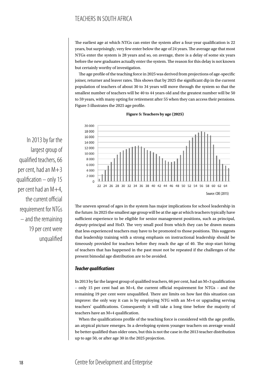## TEACHERS IN SOUTH AFRICA

The earliest age at which NTGs can enter the system after a four-year qualification is 22 years, but surprisingly, very few enter below the age of 24 years. The average age that most NTGs enter the system is 28 years and so, on average, there is a delay of some six years before the new graduates actually enter the system. The reason for this delay is not known but certainly worthy of investigation.

The age profile of the teaching force in 2025 was derived from projections of age-specific joiner, returner and leaver rates. This shows that by 2025 the significant dip in the current population of teachers of about 30 to 34 years will move through the system so that the smallest number of teachers will be 40 to 44 years old and the greatest number will be 50 to 59 years, with many opting for retirement after 55 when they can access their pensions. Figure 5 illustrates the 2025 age profile.



**Figure 5: Teachers by age (2025)**

The uneven spread of ages in the system has major implications for school leadership in the future. In 2025 the smallest age group will be at the age at which teachers typically have sufficient experience to be eligible for senior management positions, such as principal, deputy-principal and HoD. The very small pool from which they can be drawn means that less experienced teachers may have to be promoted to those positions. This suggests that leadership training with a strong emphasis on instructional leadership should be timeously provided for teachers before they reach the age of 40. The stop-start hiring of teachers that has happened in the past must not be repeated if the challenges of the present bimodal age distribution are to be avoided.

#### *Teacher qualifications*

In 2013 by far the largest group of qualified teachers, 66 per cent, had an M+3 qualification – only 15 per cent had an M+4, the current official requirement for NTGs – and the remaining 19 per cent were unqualified. There are limits on how fast this situation can improve: the only way it can is by employing NTG with an M+4 or upgrading serving teachers' qualifications. Consequently it will take a long time before the majority of teachers have an M+4 qualification.

When the qualifications profile of the teaching force is considered with the age profile, an atypical picture emerges. In a developing system younger teachers on average would be better qualified than older ones, but this is not the case in the 2013 teacher distribution up to age 50, or after age 30 in the 2025 projection.

In 2013 by far the largest group of qualified teachers, 66 per cent, had an M+3 qualification – only 15 per cent had an M+4, the current official requirement for NTGs – and the remaining 19 per cent were unqualified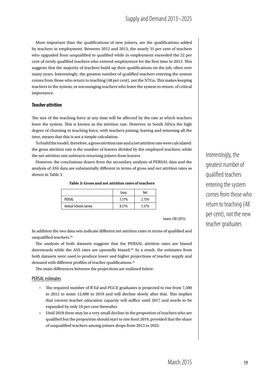More important than the qualifications of new joiners, are the qualifications added by teachers in employment. Between 2012 and 2013, the nearly 31 per cent of teachers who upgraded from unqualified to qualified while in employment exceeded the 22 per cent of newly qualified teachers who entered employment for the first time in 2013. This suggests that the majority of teachers build up their qualifications on the job, often over many years. Interestingly, the greatest number of qualified teachers entering the system comes from those who return to teaching (48 per cent), not the NTGs. This makes keeping teachers in the system, or encouraging teachers who leave the system to return, of critical importance.

#### *Teacher attrition*

The size of the teaching force at any time will be affected by the rate at which teachers leave the system. This is known as the attrition rate. However, in South Africa the high degree of churning in teaching force, with teachers joining, leaving and returning all the time, means that this is not a simple calculation.

To build the model, therefore, a gross attrition rate and a net attrition rate were calculated: the gross attrition rate is the number of leavers divided by the employed teachers, while the net attrition rate subtracts returning joiners from leavers.

However, the conclusions drawn from the secondary analysis of PERSAL data and the analysis of ASS data are substantially different in terms of gross and net attrition rates as shown in Table 3.

**Table 3: Gross and net attrition rates of teachers**

|                              | Gross | Net   |
|------------------------------|-------|-------|
| PFRSAI                       | 5.37% | 2.73% |
| <b>Annual Schools Survey</b> | 8.31% | 3.37% |

Source: CDE (2015)

In addition the two data sets indicate different net attrition rates in terms of qualified and unqualified teachers.39

The analysis of both datasets suggests that the PERSAL attrition rates are biased downwards while the ASS rates are upwardly biased.<sup>40</sup> As a result, the estimates from both datasets were used to produce lower and higher projections of teacher supply and demand with different profiles of teacher qualifications.<sup>41</sup>

The main differences between the projections are outlined below:

#### PERSAL estimates

- The required number of B Ed and PGCE graduates is projected to rise from 7,500 in 2012 to some 12,000 in 2019 and will decline slowly after that. This implies that current teacher education capacity will suffice until 2017 and needs to be expanded by only 10 per cent thereafter.
- Until 2018 there may be a very small decline in the proportion of teachers who are qualified but the proportion should start to rise from 2019, provided that the share of unqualified teachers among joiners drops from 2013 to 2025.

Interestingly, the greatest number of qualified teachers entering the system comes from those who return to teaching (48 per cent), not the new teacher graduates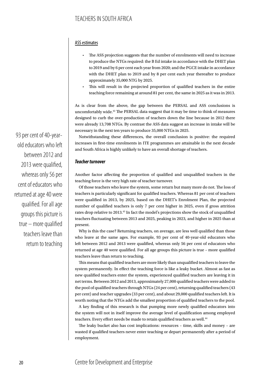#### ASS estimates

- The ASS projection suggests that the number of enrolments will need to increase to produce the NTGs required: the B Ed intake in accordance with the DHET plan to 2019 and by 6 per cent each year from 2020; and the PGCE intake in accordance with the DHET plan to 2019 and by 8 per cent each year thereafter to produce approximately 35,000 NTG by 2025.
- This will result in the projected proportion of qualified teachers in the entire teaching force remaining at around 81 per cent, the same in 2025 as it was in 2013.

As is clear from the above, the gap between the PERSAL and ASS conclusions is uncomfortably wide.42 The PERSAL data suggest that it may be time to think of measures designed to curb the over-production of teachers down the line because in 2012 there were already 13,708 NTGs. By contrast the ASS data suggest an increase in intake will be necessary in the next ten years to produce 35,000 NTGs in 2025.

Notwithstanding these differences, the overall conclusion is positive: the required increases in first-time enrolments in ITE programmes are attainable in the next decade and South Africa is highly unlikely to have an overall shortage of teachers.

#### *Teacher turnover*

Another factor affecting the proportion of qualified and unqualified teachers in the teaching force is the very high rate of teacher turnover.

Of those teachers who leave the system, some return but many more do not. The loss of teachers is particularly significant for qualified teachers. Whereas 81 per cent of teachers were qualified in 2013, by 2025, based on the DHET's Enrolment Plan, the projected number of qualified teachers is only 7 per cent higher in 2025, even if gross attrition rates drop relative to 2013.43 In fact the model's projections show the stock of unqualified teachers fluctuating between 2013 and 2025, peaking in 2023, and higher in 2025 than at present.

Why is this the case? Returning teachers, on average, are less well qualified than those who leave at the same ages. For example, 93 per cent of 40-year-old educators who left between 2012 and 2013 were qualified, whereas only 56 per cent of educators who returned at age 40 were qualified. For all age groups this picture is true – more qualified teachers leave than return to teaching.

This means that qualified teachers are more likely than unqualified teachers to leave the system permanently. In effect the teaching force is like a leaky bucket. Almost as fast as new qualified teachers enter the system, experienced qualified teachers are leaving it in net terms. Between 2012 and 2013, approximately 27,000 qualified teachers were added to the pool of qualified teachers through NTGs (24 per cent), returning qualified teachers (43 per cent) and teacher upgrades (33 per cent), and about 29,000 qualified teachers left. It is worth noting that the NTGs add the smallest proportion of qualified teachers to the pool.

A key finding of this research is that pumping more newly qualified educators into the system will not in itself improve the average level of qualification among employed teachers. Every effort needs be made to retain qualified teachers as well.<sup>44</sup>

The leaky bucket also has cost implications: resources – time, skills and money – are wasted if qualified teachers never enter teaching or depart permanently after a period of employment.

93 per cent of 40-yearold educators who left between 2012 and 2013 were qualified, whereas only 56 per cent of educators who returned at age 40 were qualified. For all age groups this picture is true – more qualified teachers leave than return to teaching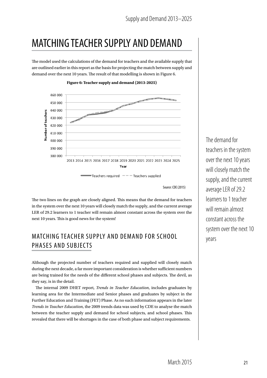## MATCHING TEACHER SUPPLY AND DEMAND

The model used the calculations of the demand for teachers and the available supply that are outlined earlier in this report as the basis for projecting the match between supply and demand over the next 10 years. The result of that modelling is shown in Figure 6.



**Figure 6: Teacher supply and demand (2013-2025)**

Source: CDE (2015)

The two lines on the graph are closely aligned. This means that the demand for teachers in the system over the next 10 years will closely match the supply, and the current average LER of 29.2 learners to 1 teacher will remain almost constant across the system over the next 10 years. This is good news for the system!

## MATCHING TEACHER SUPPLY AND DEMAND FOR SCHOOL PHASES AND SUBJECTS

Although the projected number of teachers required and supplied will closely match during the next decade, a far more important consideration is whether sufficient numbers are being trained for the needs of the different school phases and subjects. The devil, as they say, is in the detail.

The internal 2009 DHET report, *Trends in Teacher Education*, includes graduates by learning area for the Intermediate and Senior phases and graduates by subject in the Further Education and Training (FET) Phase. As no such information appears in the later *Trends in Teacher Education*, the 2009 trends data was used by CDE to analyse the match between the teacher supply and demand for school subjects, and school phases. This revealed that there will be shortages in the case of both phase and subject requirements.

The demand for teachers in the system over the next 10 years will closely match the supply, and the current average LER of 29.2 learners to 1 teacher will remain almost constant across the system over the next 10 years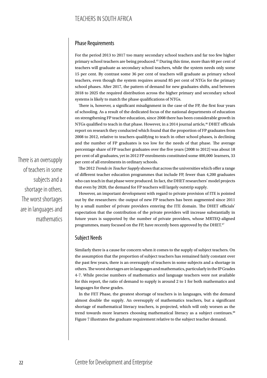#### Phase Requirements

For the period 2013 to 2017 too many secondary school teachers and far too few higher primary school teachers are being produced.45 During this time, more than 60 per cent of teachers will graduate as secondary school teachers, while the system needs only some 15 per cent. By contrast some 36 per cent of teachers will graduate as primary school teachers, even though the system requires around 85 per cent of NTGs for the primary school phases. After 2017, the pattern of demand for new graduates shifts, and between 2018 to 2025 the required distribution across the higher primary and secondary school systems is likely to match the phase qualifications of NTGs.

There is, however, a significant misalignment in the case of the FP, the first four years of schooling. As a result of the dedicated focus of the national departments of education on strengthening FP teacher education, since 2008 there has been considerable growth in NTGs qualified to teach in that phase. However, in a 2014 journal article,<sup>46</sup> DHET officials report on research they conducted which found that the proportion of FP graduates from 2008 to 2012, relative to teachers qualifying to teach in other school phases, is declining and the number of FP graduates is too low for the needs of that phase. The average percentage share of FP teacher graduates over the five years (2008 to 2012) was about 18 per cent of all graduates, yet in 2012 FP enrolments constituted some 400,000 learners, 33 per cent of all enrolments in ordinary schools.

The 2012 *Trends in Teacher Supply* shows that across the universities which offer a range of different teacher education programmes that include FP, fewer than 4,200 graduates who can teach in that phase were produced. In fact, the DHET researchers' model projects that even by 2020, the demand for FP teachers will largely outstrip supply.

However, an important development with regard to private provision of ITE is pointed out by the researchers: the output of new FP teachers has been augmented since 2011 by a small number of private providers entering the ITE domain. The DHET officials' expectation that the contribution of the private providers will increase substantially in future years is supported by the number of private providers, whose MRTEQ-aligned programmes, many focused on the FP, have recently been approved by the DHET.<sup>47</sup>

#### Subject Needs

Similarly there is a cause for concern when it comes to the supply of subject teachers. On the assumption that the proportion of subject teachers has remained fairly constant over the past few years, there is an oversupply of teachers in some subjects and a shortage in others. The worst shortages are in languages and mathematics, particularly in the IP Grades 4-7. While precise numbers of mathematics and language teachers were not available for this report, the ratio of demand to supply is around 2 to 1 for both mathematics and languages for these grades.

In the FET Phase, the greatest shortage of teachers is in languages, with the demand almost double the supply. An oversupply of mathematics teachers, but a significant shortage of mathematical literacy teachers, is projected, which will only worsen as the trend towards more learners choosing mathematical literacy as a subject continues.<sup>48</sup> Figure 7 illustrates the graduate requirement relative to the subject teacher demand.

There is an oversupply of teachers in some subjects and a shortage in others. The worst shortages are in languages and mathematics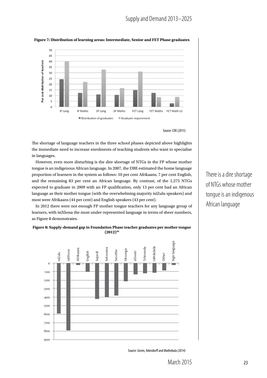

#### **Figure 7: Distribution of learning areas: Intermediate, Senior and FET Phase graduates**



The shortage of language teachers in the three school phases depicted above highlights the immediate need to increase enrolments of teaching students who want to specialise in languages.

However, even more disturbing is the dire shortage of NTGs in the FP whose mother tongue is an indigenous African language. In 2007, the DBE estimated the home language proportion of learners in the system as follows: 10 per cent Afrikaans, 7 per cent English, and the remaining 83 per cent an African language. By contrast, of the 1,275 NTGs expected to graduate in 2009 with an FP qualification, only 13 per cent had an African language as their mother tongue (with the overwhelming majority isiZulu speakers) and most were Afrikaans (44 per cent) and English speakers (43 per cent).

In 2012 there were not enough FP mother tongue teachers for any language group of learners, with isiXhosa the most under-represented language in terms of sheer numbers, as Figure 8 demonstrates.





There is a dire shortage of NTGs whose mother tongue is an indigenous African language

Source: Green, Adendorff and Mathebula (2014)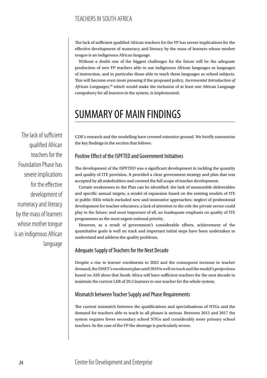The lack of sufficient qualified African teachers for the FP has severe implications for the effective development of numeracy and literacy by the mass of learners whose mother tongue is an indigenous African language.

Without a doubt one of the biggest challenges for the future will be the adequate production of new FP teachers able to use indigenous African languages as languages of instruction, and in particular those able to teach these languages as school subjects. This will become even more pressing if the proposed policy, *Incremental Introduction of African Languages*, 50 which would make the inclusion of at least one African Language compulsory for all learners in the system, is implemented.

## SUMMARY OF MAIN FINDINGS

CDE's research and the modelling have covered extensive ground. We briefly summarise the key findings in the section that follows.

#### Positive Effect of the ISPFTED and Government Initiatives

The development of the ISPFTED was a significant development in tackling the quantity and quality of ITE provision. It provided a clear government strategy and plan that was accepted by all stakeholders and covered the full scope of teacher development.

Certain weaknesses in the Plan can be identified: the lack of measurable deliverables and specific annual targets; a model of expansion based on the existing models of ITE at public HEIs which excluded new and innovative approaches; neglect of professional development for teacher educators; a lack of attention to the role the private sector could play in the future; and most important of all, an inadequate emphasis on quality of ITE programmes as the most urgent national priority.

However, as a result of government's considerable efforts, achievement of the quantitative goals is well on track and important initial steps have been undertaken to understand and address the quality problems.

#### Adequate Supply of Teachers for the Next Decade

Despite a rise in learner enrolments to 2023 and the consequent increase in teacher demand, the DHET's enrolment plan until 2019 is well on track and the model's projections based on ASS show that South Africa will have sufficient teachers for the next decade to maintain the current LER of 29.2 learners to one teacher for the whole system.

## Mismatch between Teacher Supply and Phase Requirements

The current mismatch between the qualifications and specialisations of NTGs and the demand for teachers able to teach in all phases is serious. Between 2013 and 2017 the system requires fewer secondary school NTGs and considerably more primary school teachers. In the case of the FP the shortage is particularly severe.

The lack of sufficient qualified African teachers for the Foundation Phase has severe implications for the effective development of numeracy and literacy by the mass of learners whose mother tongue is an indigenous African language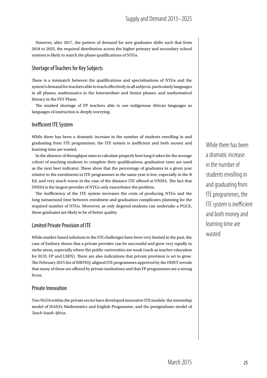However, after 2017, the pattern of demand for new graduates shifts such that from 2018 to 2025, the required distribution across the higher primary and secondary school systems is likely to match the phase qualifications of NTGs.

### Shortage of Teachers for Key Subjects

There is a mismatch between the qualifications and specialisations of NTGs and the system's demand for teachers able to teach effectively in all subjects, particularly languages in all phases, mathematics in the Intermediate and Senior phases, and mathematical literacy in the FET Phase.

The marked shortage of FP teachers able to use indigenous African languages as languages of instruction is deeply worrying.

#### Inefficient ITE System

While there has been a dramatic increase in the number of students enrolling in and graduating from ITE programmes, the ITE system is inefficient and both money and learning time are wasted.

In the absence of throughput rates to calculate properly how long it takes for the average cohort of teaching students to complete their qualifications, graduation rates are used as the next best indicator. These show that the percentage of graduates in a given year relative to the enrolments in ITE programmes in the same year is low, especially in the B Ed, and very much worse in the case of the distance ITE offered at UNISA. The fact that UNISA is the largest provider of NTGs only exacerbates the problem.

The inefficiency of the ITE system increases the costs of producing NTGs and the long turnaround time between enrolment and graduation complicates planning for the required number of NTGs. Moreover, as only degreed students can undertake a PGCE, these graduates are likely to be of better quality.

#### Limited Private Provision of ITE

While market-based solutions to the ITE challenges have been very limited in the past, the case of Embury shows that a private provider can be successful and grow very rapidly in niche areas, especially where the public universities are weak (such as teacher education for ECD, FP and LSEN). There are also indications that private provision is set to grow. The February 2015 list of MRTEQ-aligned ITE programmes approved by the DHET reveals that many of these are offered by private institutions and that FP programmes are a strong focus.

#### Private Innovation

Two NGOs within the private sector have developed innovative ITE models: the internship model of ISASA's Mathematics and English Programme, and the postgraduate model of *Teach South Africa*.

While there has been a dramatic increase in the number of students enrolling in and graduating from ITE programmes, the ITE system is inefficient and both money and learning time are wasted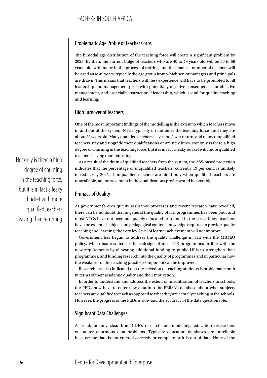## Problematic Age Profile of Teacher Corps

The bimodal age distribution of the teaching force will create a significant problem by 2025. By then, the current bulge of teachers who are 40 to 49 years old will be 50 to 59 years old, with many in the process of retiring, and the smallest number of teachers will be aged 40 to 49 years, typically the age group from which senior managers and principals are drawn. This means that teachers with less experience will have to be promoted to fill leadership and management posts with potentially negative consequences for effective management, and especially instructional leadership, which is vital for quality teaching and learning.

### High Turnover of Teachers

One of the most important findings of the modelling is the extent to which teachers move in and out of the system. NTGs typically do not enter the teaching force until they are about 28 years old. Many qualified teachers leave and fewer return, and many unqualified teachers stay and upgrade their qualifications or are new hires. Not only is there a high degree of churning in the teaching force, but it is in fact a leaky bucket with more qualified teachers leaving than returning.

As a result of the drain of qualified teachers from the system, the ASS-based projection indicates that the percentage of unqualified teachers, currently 19 per cent, is unlikely to reduce by 2025. If unqualified teachers are hired only when qualified teachers are unavailable, an improvement in the qualifications profile would be possible.

## Primacy of Quality

As government's own quality assurance processes and recent research have revealed, there can be no doubt that in general the quality of ITE programmes has been poor and most NTGs have not been adequately educated or trained in the past. Unless teachers have the essential subject and pedagogical content knowledge required to provide quality teaching and learning, the very low level of learner achievement will not improve.

Government has begun to address the quality challenge in ITE with the MRTEQ policy, which has resulted in the redesign of most ITE programmes in line with the new requirements by allocating additional funding to public HEIs to strengthen their programmes, and funding research into the quality of programmes and in particular how the weakness of the teaching practice component can be improved.

Research has also indicated that the selection of teaching students is problematic both in terms of their academic quality and their motivation.

In order to understand and address the extent of misutilisation of teachers in schools, the PEDs now have to enter new data into the PERSAL database about what subjects teachers are qualified to teach as opposed to what they are actually teaching in the schools. However, the progress of the PEDs is slow and the accuracy of the data questionable.

## Significant Data Challenges

As is abundantly clear from CDE's research and modelling, education researchers encounter enormous data problems. Typically education databases are unreliable because the data is not entered correctly or complete or it is out of date. None of the

Not only is there a high degree of churning in the teaching force, but it is in fact a leaky bucket with more qualified teachers leaving than returning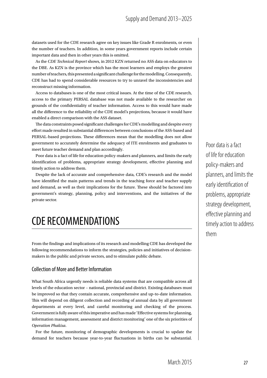datasets used for the CDE research agree on key issues like Grade R enrolments, or even the number of teachers. In addition, in some years government reports include certain important data and then in other years this is omitted.

As the *CDE Technical Report* shows, in 2012 KZN returned no ASS data on educators to the DBE. As KZN is the province which has the most learners and employs the greatest number of teachers, this presented a significant challenge for the modelling. Consequently, CDE has had to spend considerable resources to try to unravel the inconsistencies and reconstruct missing information.

Access to databases is one of the most critical issues. At the time of the CDE research, access to the primary PERSAL database was not made available to the researcher on grounds of the confidentiality of teacher information. Access to this would have made all the difference to the reliability of the CDE model's projections, because it would have enabled a direct comparison with the ASS dataset.

The data constraints posed significant challenges for CDE's modelling and despite every effort made resulted in substantial differences between conclusions of the ASS-based and PERSAL-based projections. These differences mean that the modelling does not allow government to accurately determine the adequacy of ITE enrolments and graduates to meet future teacher demand and plan accordingly.

Poor data is a fact of life for education policy-makers and planners, and limits the early identification of problems, appropriate strategy development, effective planning and timely action to address them.

Despite the lack of accurate and comprehensive data, CDE's research and the model have identified the main patterns and trends in the teaching force and teacher supply and demand, as well as their implications for the future. These should be factored into government's strategy, planning, policy and interventions, and the initiatives of the private sector.

## CDE RECOMMENDATIONS

From the findings and implications of its research and modelling CDE has developed the following recommendations to inform the strategies, policies and initiatives of decisionmakers in the public and private sectors, and to stimulate public debate.

#### Collection of More and Better Information

What South Africa urgently needs is reliable data systems that are compatible across all levels of the education sector – national, provincial and district. Existing databases must be improved so that they contain accurate, comprehensive and up-to-date information. This will depend on diligent collection and recording of annual data by all government departments at every level, and careful monitoring and checking of the process. Government is fully aware of this imperative and has made 'Effective systems for planning, information management, assessment and district monitoring' one of the six priorities of *Operation Phakisa*.

For the future, monitoring of demographic developments is crucial to update the demand for teachers because year-to-year fluctuations in births can be substantial. Poor data is a fact of life for education policy-makers and planners, and limits the early identification of problems, appropriate strategy development, effective planning and timely action to address them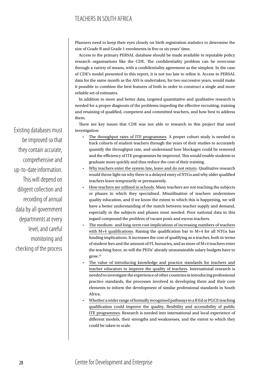## TEACHERS IN SOUTH AFRICA

Planners need to keep their eyes closely on birth registration statistics to determine the size of Grade R and Grade 1 enrolments in five or six years' time.

Access to the primary PERSAL database should be made available to reputable policy research organisations like the CDE. The confidentiality problem can be overcome through a variety of means, with a confidentiality agreement as the simplest. In the case of CDE's model presented in this report, it is not too late to refine it. Access to PERSAL data for the same month as the ASS is undertaken, for two successive years, would make it possible to combine the best features of both in order to construct a single and more reliable set of estimates.

In addition to more and better data, targeted quantitative and qualitative research is needed for a proper diagnosis of the problems impeding the effective recruiting, training and retaining of qualified, competent and committed teachers, and how best to address them.

There are key issues that CDE was not able to research in this project that need investigation:

- The throughput rates of ITE programmes. A proper cohort study is needed to track cohorts of student teachers through the years of their studies to accurately quantify the throughput rate, and understand how blockages could be removed and the efficiency of ITE programmes be improved. This would enable students to graduate more quickly and thus reduce the cost of their training.
- Why teachers enter the system late, leave and do not return. Qualitative research would throw light on why there is a delayed entry of NTGs and why older qualified teachers leave temporarily or permanently.
- How teachers are utilised in schools. Many teachers are not teaching the subjects or phases in which they specialised. Misutilisation of teachers undermines quality education, and if we know the extent to which this is happening, we will have a better understanding of the match between teacher supply and demand, especially in the subjects and phases most needed. Poor national data in this regard compound the problem of vacant posts and excess teachers.
- The medium- and long-term cost implications of increasing numbers of teachers with M+4 qualifications. Raising the qualification bar to M+4 for all NTGs has funding implications. It increases the cost of qualifying as a teacher, both in terms of student fees and the amount of FL bursaries, and as more of M+4 teachers enter the teaching force, so will the PEDs' already unsustainable salary budgets have to grow.51
- The value of introducing knowledge and practice standards for teachers and teacher educators to improve the quality of teachers. International research is needed to investigate the experience of other countries in introducing professional practice standards, the processes involved in developing them and their core elements to inform the development of similar professional standards in South Africa.
- Whether a wider range of formally recognised pathways to a B Ed or PGCE teaching qualification could improve the quality, flexibility and accessibility of public ITE programmes. Research is needed into international and local experience of different models, their strengths and weaknesses, and the extent to which they could be taken to scale.

Existing databases must be improved so that they contain accurate, comprehensive and up-to-date information. This will depend on diligent collection and recording of annual data by all government departments at every level, and careful monitoring and checking of the process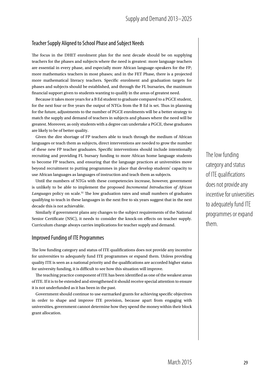#### Teacher Supply Aligned to School Phase and Subject Needs

The focus in the DHET enrolment plan for the next decade should be on supplying teachers for the phases and subjects where the need is greatest: more language teachers are essential in every phase, and especially more African language-speakers for the FP; more mathematics teachers in most phases; and in the FET Phase, there is a projected more mathematical literacy teachers. Specific enrolment and graduation targets for phases and subjects should be established, and through the FL bursaries, the maximum financial support given to students wanting to qualify in the areas of greatest need.

Because it takes more years for a B Ed student to graduate compared to a PGCE student, for the next four or five years the output of NTGs from the B Ed is set. Thus in planning for the future, adjustments to the number of PGCE enrolments will be a better strategy to match the supply and demand of teachers in subjects and phases where the need will be greatest. Moreover, as only students with a degree can undertake a PGCE, these graduates are likely to be of better quality.

Given the dire shortage of FP teachers able to teach through the medium of African languages or teach them as subjects, direct interventions are needed to grow the number of these new FP teacher graduates. Specific interventions should include intentionally recruiting and providing FL bursary funding to more African home language students to become FP teachers, and ensuring that the language practices at universities move beyond recruitment to putting programmes in place that develop students' capacity to use African languages as languages of instruction and teach them as subjects.

Until the numbers of NTGs with these competencies increase, however, government is unlikely to be able to implement the proposed *Incremental Introduction of African*  Languages policy on scale.<sup>52</sup> The low graduation rates and small numbers of graduates qualifying to teach in these languages in the next five to six years suggest that in the next decade this is not achievable.

Similarly if government plans any changes to the subject requirements of the National Senior Certificate (NSC), it needs to consider the knock-on effects on teacher supply. Curriculum change always carries implications for teacher supply and demand.

#### Improved Funding of ITE Programmes

The low funding category and status of ITE qualifications does not provide any incentive for universities to adequately fund ITE programmes or expand them. Unless providing quality ITE is seen as a national priority and the qualifications are accorded higher status for university funding, it is difficult to see how this situation will improve.

The teaching practice component of ITE has been identified as one of the weakest areas of ITE. If it is to be extended and strengthened it should receive special attention to ensure it is not underfunded as it has been in the past.

Government should continue to use earmarked grants for achieving specific objectives in order to shape and improve ITE provision, because apart from engaging with universities, government cannot determine how they spend the money within their block grant allocation.

The low funding category and status of ITE qualifications does not provide any incentive for universities to adequately fund ITE programmes or expand them.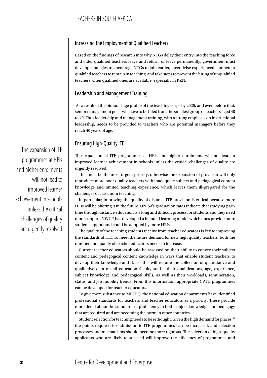### Increasing the Employment of Qualified Teachers

Based on the findings of research into why NTGs delay their entry into the teaching force and older qualified teachers leave and return, or leave permanently, government must develop strategies to encourage NTGs to join earlier, incentivise experienced competent qualified teachers to remain in teaching, and take steps to prevent the hiring of unqualified teachers when qualified ones are available, especially in KZN.

#### Leadership and Management Training

 As a result of the bimodal age profile of the teaching corps by 2025, and even before that, senior management posts will have to be filled from the smallest group of teachers aged 40 to 49. Thus leadership and management training, with a strong emphasis on instructional leadership, needs to be provided to teachers who are potential managers before they reach 40 years of age.

### Ensuring High-Quality ITE

The expansion of ITE programmes at HEIs and higher enrolments will not lead to improved learner achievement in schools unless the critical challenges of quality are urgently resolved.

This must be the most urgent priority, otherwise the expansion of provision will only reproduce more poor quality teachers with inadequate subject and pedagogical content knowledge and limited teaching experience, which leaves them ill-prepared for the challenges of classroom teaching.

In particular, improving the quality of distance ITE provision is critical because more HEIs will be offering it in the future. UNISA's graduation rates indicate that studying parttime through distance education is a long and difficult process for students and they need more support. NWU53 has developed a blended learning model which does provide more student support and could be adopted by more HEIs.

The quality of the teaching students receive from teacher educators is key to improving the standards of ITE. To meet the future demand for new high quality teachers, both the number and quality of teacher educators needs to increase.

Current teacher educators should be assessed on their ability to convey their subject content and pedagogical content knowledge in ways that enable student teachers to develop their knowledge and skills. This will require the collection of quantitative and qualitative data on all education faculty staff – their qualifications, age, experience, subject knowledge and pedagogical skills, as well as their workloads, remuneration, status, and job mobility trends. From this information, appropriate CPTD programmes can be developed for teacher educators.

To give more substance to MRTEQ, the national education departments have identified professional standards for teachers and teacher educators as a priority. These provide more detail about the standards of proficiency in both subject knowledge and pedagogy that are required and are becoming the norm in other countries.

Student selection for teaching needs to be rethought. Given the high demand for places, 54 the points required for admission to ITE programmes can be increased, and selection processes and mechanisms should become more rigorous. The selection of high-quality applicants who are likely to succeed will improve the efficiency of programmes and

The expansion of ITE programmes at HEIs and higher enrolments will not lead to improved learner achievement in schools unless the critical challenges of quality are urgently resolved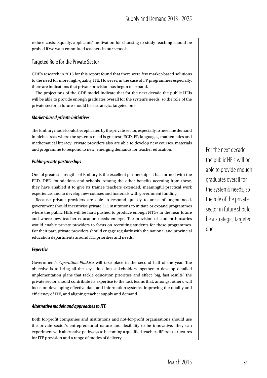reduce costs. Equally, applicants' motivation for choosing to study teaching should be probed if we want committed teachers in our schools.

#### Targeted Role for the Private Sector

CDE's research in 2013 for this report found that there were few market-based solutions to the need for more high-quality ITE. However, in the case of FP programmes especially, there are indications that private provision has begun to expand.

The projections of the CDE model indicate that for the next decade the public HEIs will be able to provide enough graduates overall for the system's needs, so the role of the private sector in future should be a strategic, targeted one.

#### *Market-based private initiatives*

The Embury model could be replicated by the private sector, especially to meet the demand in niche areas where the system's need is greatest: ECD, FP, languages, mathematics and mathematical literacy. Private providers also are able to develop new courses, materials and programme to respond to new, emerging demands for teacher education.

#### *Public-private partnerships*

One of greatest strengths of Embury is the excellent partnerships it has formed with the PED, DBE, foundations and schools. Among the other benefits accruing from these, they have enabled it to give its trainee teachers extended, meaningful practical work experience, and to develop new courses and materials with government funding.

Because private providers are able to respond quickly to areas of urgent need, government should incentivise private ITE institutions to initiate or expand programmes where the public HEIs will be hard pushed to produce enough NTGs in the near future and where new teacher education needs emerge. The provision of student bursaries would enable private providers to focus on recruiting students for these programmes. For their part, private providers should engage regularly with the national and provincial education departments around ITE priorities and needs.

#### *Expertise*

Government's *Operation Phakisa* will take place in the second half of the year. The objective is to bring all the key education stakeholders together to develop detailed implementation plans that tackle education priorities and effect 'big, fast results'. The private sector should contribute its expertise to the task teams that, amongst others, will focus on developing effective data and information systems, improving the quality and efficiency of ITE, and aligning teacher supply and demand.

#### *Alternative models and approaches to ITE*

Both for-profit companies and institutions and not-for-profit organisations should use the private sector's entrepreneurial nature and flexibility to be innovative. They can experiment with alternative pathways to becoming a qualified teacher, different structures for ITE provision and a range of modes of delivery.

For the next decade the public HEIs will be able to provide enough graduates overall for the system's needs, so the role of the private sector in future should be a strategic, targeted one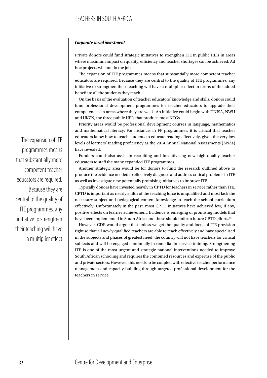## TEACHERS IN SOUTH AFRICA

#### *Corporate social investment*

Private donors could fund strategic initiatives to strengthen ITE in public HEIs in areas where maximum impact on quality, efficiency and teacher shortages can be achieved. Ad hoc projects will not do the job.

The expansion of ITE programmes means that substantially more competent teacher educators are required. Because they are central to the quality of ITE programmes, any initiative to strengthen their teaching will have a multiplier effect in terms of the added benefit to all the students they teach.

On the basis of the evaluation of teacher educators' knowledge and skills, donors could fund professional development programmes for teacher educators to upgrade their competencies in areas where they are weak. An initiative could begin with UNISA, NWU and UKZN, the three public HEIs that produce most NTGs.

Priority areas would be professional development courses in language, mathematics and mathematical literacy. For instance, in FP programmes, it is critical that teacher educators know how to teach students to educate reading effectively, given the very low levels of learners' reading proficiency as the 2014 Annual National Assessments (ANAs) have revealed.

Funders could also assist in recruiting and incentivising new high-quality teacher educators to staff the many expanded ITE programmes.

Another strategic area would be for donors to fund the research outlined above to produce the evidence needed to effectively diagnose and address critical problems in ITE as well as investigate new potentially promising initiatives to improve ITE.

Typically donors have invested heavily in CPTD for teachers in service rather than ITE. CPTD is important as nearly a fifth of the teaching force is unqualified and most lack the necessary subject and pedagogical content knowledge to teach the school curriculum effectively. Unfortunately in the past, most CPTD initiatives have achieved few, if any, positive effects on learner achievement. Evidence is emerging of promising models that have been implemented in South Africa and these should inform future CPTD efforts.<sup>55</sup>

However, CDE would argue that unless we get the quality and focus of ITE provision right so that all newly qualified teachers are able to teach effectively and have specialised in the subjects and phases of greatest need, the country will not have teachers for critical subjects and will be engaged continually in remedial in-service training. Strengthening ITE is one of the most urgent and strategic national interventions needed to improve South African schooling and requires the combined resources and expertise of the public and private sectors. However, this needs to be coupled with effective teacher performance management and capacity-building through targeted professional development for the teachers in service.

The expansion of ITE programmes means that substantially more competent teacher educators are required. Because they are central to the quality of ITE programmes, any initiative to strengthen their teaching will have a multiplier effect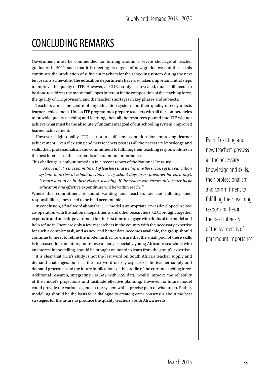## CONCLUDING REMARKS

Government must be commended for turning around a severe shortage of teacher graduates in 2009, such that it is meeting its targets of new graduates; and that if this continues, the production of sufficient teachers for the schooling system during the next ten years is achievable. The education departments have also taken important initial steps to improve the quality of ITE. However, as CDE's study has revealed, much still needs to be done to address the many challenges inherent in the composition of the teaching force, the quality of ITE provision, and the teacher shortages in key phases and subjects.

Teachers are at the centre of any education system and their quality directly affects learner achievement. Unless ITE programmes prepare teachers with all the competencies to provide quality teaching and learning, then all the resources poured into ITE will not achieve what must be the absolutely fundamental goal of our schooling system: improved learner achievement.

However, high quality ITE is not a sufficient condition for improving learner achievement. Even if existing and new teachers possess all the necessary knowledge and skills, their professionalism and commitment to fulfilling their teaching responsibilities in the best interests of the learners is of paramount importance.

This challenge is aptly summed up in a recent report of the National Treasury:

*Above all, it is the commitment of teachers that will ensure the success of the education system: to arrive at school on time, every school day; to be prepared for each day's lessons; and to be in their classes, teaching. If the system can ensure this, better basic education and effec*tive expenditure will be within reach. 56

Where this commitment is found wanting and teachers are not fulfilling their responsibilities, they need to be held accountable.

In conclusion, a final word about the CDE model is appropriate. It was developed in close co-operation with the national departments and other researchers. CDE brought together experts in and outside government for the first time to engage with drafts of the model and help refine it. There are only a few researchers in the country with the necessary expertise for such a complex task, and as new and better data becomes available, the group should continue to meet to refine the model further. To ensure that the small pool of these skills is increased for the future, more researchers, especially young African researchers with an interest in modelling, should be brought on board to learn from the group's expertise.

It is clear that CDE's study is not the last word on South Africa's teacher supply and demand challenges, but it is the first word on key aspects of the teacher supply and demand processes and the future implications of the profile of the current teaching force. Additional research, integrating PERSAL with ASS data, would improve the reliability of the model's projections and facilitate effective planning. However no future model could provide the various agents in the system with a precise plan of what to do. Rather, modelling should be the basis for a dialogue to create greater consensus about the best strategies for the future to produce the quality teachers South Africa needs.

Even if existing and new teachers possess all the necessary knowledge and skills, their professionalism and commitment to fulfilling their teaching responsibilities in the best interests of the learners is of paramount importance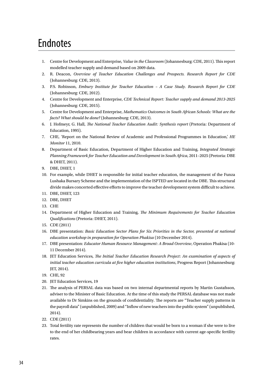## Endnotes

- 1. Centre for Development and Enterprise, *Value in the Classroom* (Johannesburg: CDE, 2011). This report modelled teacher supply and demand based on 2009 data.
- 2. R. Deacon, *Overview of Teacher Education Challenges and Prospects. Research Report for CDE* (Johannesburg: CDE, 2013).
- 3. P.S. Robinson, *Embury Institute for Teacher Education A Case Study. Research Report for CDE* (Johannesburg: CDE, 2012).
- 4. Centre for Development and Enterprise, *CDE Technical Report: Teacher supply and demand 2013-2025* (Johannesburg: CDE, 2015).
- 5. Centre for Development and Enterprise, *Mathematics Outcomes in South African Schools: What are the facts? What should be done?* (Johannesburg: CDE, 2013).
- 6. J. Hofmeyr, G. Hall, *The National Teacher Education Audit: Synthesis report* (Pretoria: Department of Education, 1995).
- 7. CHE, 'Report on the National Review of Academic and Professional Programmes in Education,' *HE Monitor* 11, 2010.
- 8. Department of Basic Education, Department of Higher Education and Training, *Integrated Strategic Planning Framework for Teacher Education and Development in South Africa*, 2011–2025 (Pretoria: DBE & DHET, 2011).
- 9. DBE, DHET, 1
- 10. For example, while DHET is responsible for initial teacher education, the management of the Funza Lushaka Bursary Scheme and the implementation of the ISPTED are located in the DBE. This structural divide makes concerted effective efforts to improve the teacher development system difficult to achieve.
- 11. DBE, DHET, 123
- 12. DBE, DHET
- 13. CHE
- 14. Department of Higher Education and Training, *The Minimum Requirements for Teacher Education Qualifications* (Pretoria: DHET, 2011).
- 15. CDE (2011)
- 16. DBE presentation: *Basic Education Sector Plans for Six Priorities in the Sector, presented at national education workshop in preparation for Operation Phakisa* (10 December 2014).
- 17. DBE presentation: *Educator Human Resource Management: A Broad Overview*, Operation Phakisa (10- 11 December 2014).
- 18. JET Education Services, *The Initial Teacher Education Research Project: An examination of aspects of initial teacher education curricula at five higher education institutions*, Progress Report (Johannesburg: JET, 2014).
- 19. CHE, 92
- 20. JET Education Services, 19
- 21. The analysis of PERSAL data was based on two internal departmental reports by Martin Gustafsson, adviser to the Minister of Basic Education. At the time of this study the PERSAL database was not made available to Dr Simkins on the grounds of confidentiality. The reports are "Teacher supply patterns in the payroll data" (unpublished, 2009) and "Inflow of new teachers into the public system" (unpublished, 2014).
- 22. CDE (2011)
- 23. Total fertility rate represents the number of children that would be born to a woman if she were to live to the end of her childbearing years and bear children in accordance with current age-specific fertility rates.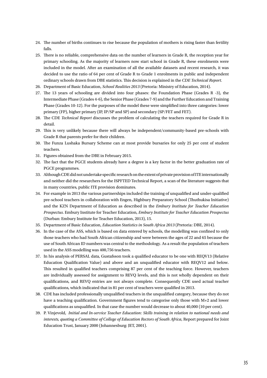- 24. The number of births continues to rise because the population of mothers is rising faster than fertility falls.
- 25. There is no reliable, comprehensive data on the number of learners in Grade R, the reception year for primary schooling. As the majority of learners now start school in Grade R, these enrolments were included in the model. After an examination of all the available datasets and recent research, it was decided to use the ratio of 64 per cent of Grade R to Grade 1 enrolments in public and independent ordinary schools drawn from DBE statistics. This decision is explained in the *CDE Technical Report*.
- 26. Department of Basic Education, *School Realities 2013* (Pretoria: Ministry of Education, 2014).
- 27. The 13 years of schooling are divided into four phases: the Foundation Phase (Grades R -3), the Intermediate Phase (Grades 4-6), the Senior Phase (Grades 7-9) and the Further Education and Training Phase (Grades 10-12). For the purposes of the model these were simplified into three categories: lower primary (FP), higher primary (IP, IP/SP and SP) and secondary (SP/FET and FET).
- 28. The CDE *Technical Report* discusses the problem of calculating the teachers required for Grade R in detail.
- 29. This is very unlikely because there will always be independent/community-based pre-schools with Grade R that parents prefer for their children.
- 30. The Funza Lushaka Bursary Scheme can at most provide bursaries for only 25 per cent of student teachers.
- 31. Figures obtained from the DBE in February 2015.
- 32. The fact that the PGCE students already have a degree is a key factor in the better graduation rate of PGCE programmes.
- 33. Although CDE did not undertake specific research on the extent of private provision of ITE internationally and neither did the researchers for the ISPFTED Technical Report, a scan of the literature suggests that in many countries, public ITE provision dominates.
- 34. For example in 2013 the various partnerships included the training of unqualified and under-qualified pre-school teachers in collaboration with Engen, Highbury Preparatory School (Thuthukisa Initiative) and the KZN Department of Education as described in the *Embury Institute for Teacher Education Prospectus*. Embury Institute for Teacher Education, *Embury Institute for Teacher Education Prospectus*  (Durban: Embury Institute for Teacher Education, 2013), 15.
- 35. Department of Basic Education, *Education Statistics in South Africa 2013* (Pretoria: DBE, 2014).
- 36. In the case of the ASS, which is based on data entered by schools, the modelling was confined to only those teachers who had South African citizenship and were between the ages of 22 and 65 because the use of South African ID numbers was central to the methodology. As a result the population of teachers used in the ASS modelling was 400,756 teachers.
- 37. In his analysis of PERSAL data, Gustafsson took a qualified educator to be one with REQV13 (Relative Education Qualification Value) and above and an unqualified educator with REQV12 and below. This resulted in qualified teachers comprising 87 per cent of the teaching force. However, teachers are individually assessed for assignment to REVQ levels, and this is not wholly dependent on their qualifications, and REVQ entries are not always complete. Consequently CDE used actual teacher qualifications, which indicated that in 81 per cent of teachers were qualified in 2013.
- 38. CDE has included professionally unqualified teachers in the unqualified category, because they do not have a teaching qualification. Government figures tend to categorise only those with M+2 and lower qualifications as unqualified. In that case the number would decrease to about 40,000 (10 per cent).
- 39. P. Vinjevold, *Initial and In-service Teacher Education: Skills training in relation to national needs and interests, quoting a Committee of College of Education Rectors of South Africa*, Report prepared for Joint Education Trust, January 2000 (Johannesburg: JET, 2001).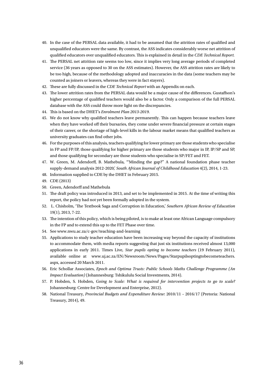- 40. In the case of the PERSAL data available, it had to be assumed that the attrition rates of qualified and unqualified educators were the same. By contrast, the ASS indicates considerably worse net attrition of qualified educators over unqualified educators. This is explained in detail in the *CDE Technical Report.*
- 41. The PERSAL net attrition rate seems too low, since it implies very long average periods of completed service (36 years as opposed to 30 on the ASS estimates). However, the ASS attrition rates are likely to be too high, because of the methodology adopted and inaccuracies in the data (some teachers may be counted as joiners or leavers, whereas they were in fact stayers).
- 42. These are fully discussed in the *CDE Technical Report* with an Appendix on each.
- 43. The lower attrition rates from the PERSAL data would be a major cause of the differences. Gustaffson's higher percentage of qualified teachers would also be a factor. Only a comparison of the full PERSAL database with the ASS could throw more light on the discrepancies.
- 44. This is based on the DHET's *Enrolment Plan 2013-2019*.
- 45. We do not know why qualified teachers leave permanently. This can happen because teachers leave when they have worked off their bursaries, they come under severe financial pressure at certain stages of their career, or the shortage of high-level kills in the labour market means that qualified teachers as university graduates can find other jobs.
- 46. For the purposes of this analysis, teachers qualifying for lower primary are those students who specialise in FP and FP/IP, those qualifying for higher primary are those students who major in IP, IP/SP and SP, and those qualifying for secondary are those students who specialise in SP/FET and FET.
- 47. W. Green, M. Adendorff, B. Mathebula, '"Minding the gap?" A national foundation phase teacher supply-demand analysis 2012-2020,' *South African Journal of Childhood Education* 4(2), 2014, 1-23.
- 48. Information supplied to CDE by the DHET in February 2015.
- 49. CDE (2013)
- 50. Green, Adendorff and Mathebula
- 51. The draft policy was introduced in 2013, and set to be implemented in 2015. At the time of writing this report, the policy had not yet been formally adopted in the system.
- 52. L. Chisholm, 'The Textbook Saga and Corruption in Education,' *Southern African Review of Education* 19(1), 2013, 7-22.
- 53. The intention of this policy, which is being piloted, is to make at least one African Language compulsory in the FP and to extend this up to the FET Phase over time.
- 54. See www.nwu.ac.za/c-gov/teaching-and-learning
- 55. Applications to study teacher education have been increasing way beyond the capacity of institutions to accommodate them, with media reports suggesting that just six institutions received almost 13,000 applications in early 2011. Times Live, *Star pupils opting to become teachers* (19 February 2011), available online at www.uj.ac.za/EN/Newsroom/News/Pages/Starpupilsoptingtobecometeachers. aspx, accessed 20 March 2011.
- 56. Eric Schollar Associates, *Epoch and Optima Trusts: Public Schools Maths Challenge Programme (An Impact Evaluation)* (Johannesburg: Tshikululu Social Investments, 2014).
- 57. P. Hobden, S. Hobden, *Going to Scale: What is required for intervention projects to go to scale?*  Johannesburg: Centre for Development and Enterprise, 2012).
- 58. National Treasury, *Provincial Budgets and Expenditure Review*: 2010/11 2016/17 (Pretoria: National Treasury, 2014), 49.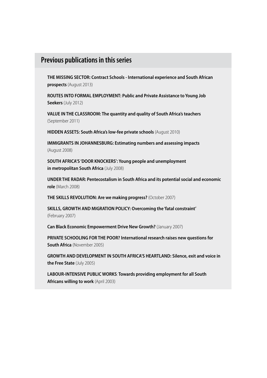## **Previous publications in this series**

**THE MISSING SECTOR: Contract Schools - International experience and South African prospects** (August 2013)

**ROUTES INTO FORMAL EMPLOYMENT: Public and Private Assistance to Young Job Seekers** (July 2012)

**VALUE IN THE CLASSROOM: The quantity and quality of South Africa's teachers** (September 2011)

**HIDDEN ASSETS: South Africa's low-fee private schools** (August 2010)

**IMMIGRANTS IN JOHANNESBURG: Estimating numbers and assessing impacts** (August 2008)

**SOUTH AFRICA'S 'DOOR KNOCKERS': Young people and unemployment in metropolitan South Africa** (July 2008)

**UNDER THE RADAR: Pentecostalism in South Africa and its potential social and economic role** (March 2008)

**THE SKILLS REVOLUTION: Are we making progress?** (October 2007)

**SKILLS, GROWTH AND MIGRATION POLICY: Overcoming the 'fatal constraint'** (February 2007)

**Can Black Economic Empowerment Drive New Growth?** (January 2007)

**PRIVATE SCHOOLING FOR THE POOR? International research raises new questions for South Africa** (November 2005)

**GROWTH AND DEVELOPMENT IN SOUTH AFRICA'S HEARTLAND: Silence, exit and voice in the Free State** (July 2005)

**LABOUR-INTENSIVE PUBLIC WORKS**: **Towards providing employment for all South Africans willing to work** (April 2003)